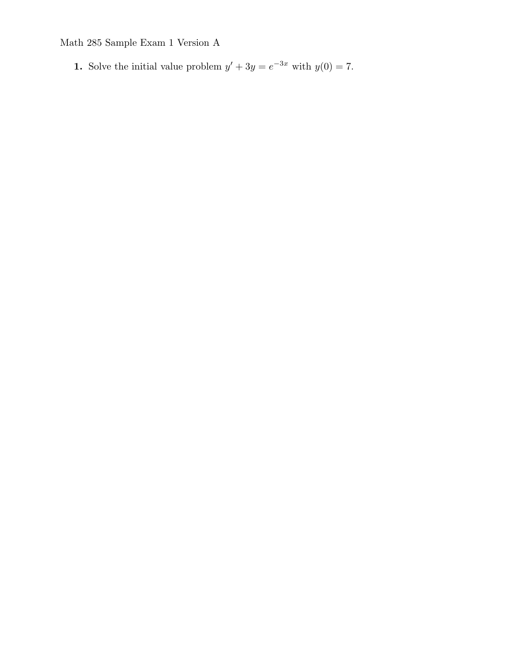**1.** Solve the initial value problem  $y' + 3y = e^{-3x}$  with  $y(0) = 7$ .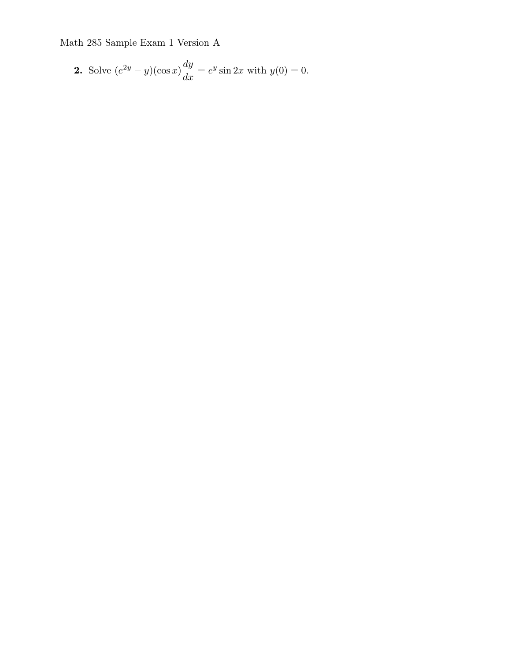**2.** Solve 
$$
(e^{2y} - y)(\cos x) \frac{dy}{dx} = e^y \sin 2x
$$
 with  $y(0) = 0$ .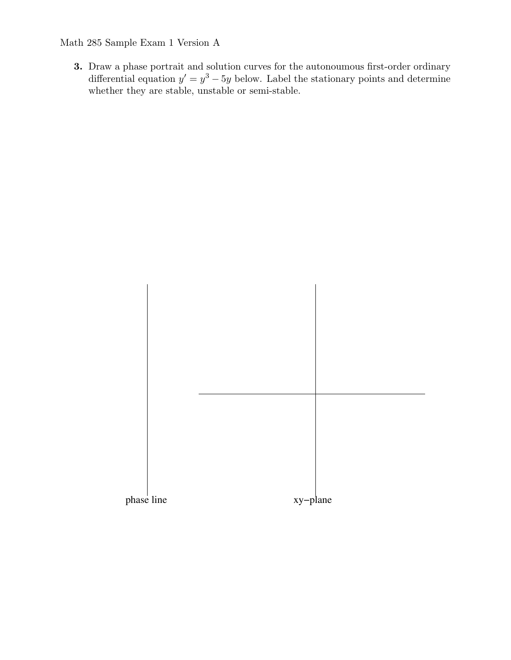**3.** Draw a phase portrait and solution curves for the autonoumous first-order ordinary differential equation  $y' = y^3 - 5y$  below. Label the stationary points and determine whether they are stable, unstable or semi-stable.

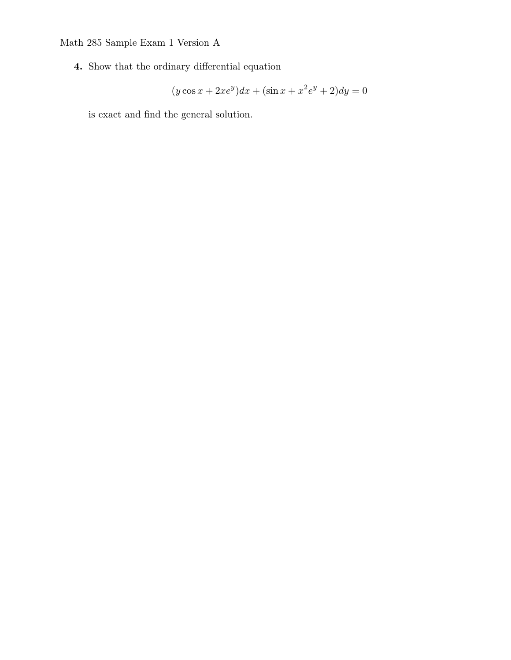**4.** Show that the ordinary differential equation

$$
(y \cos x + 2xe^y)dx + (\sin x + x^2e^y + 2)dy = 0
$$

is exact and find the general solution.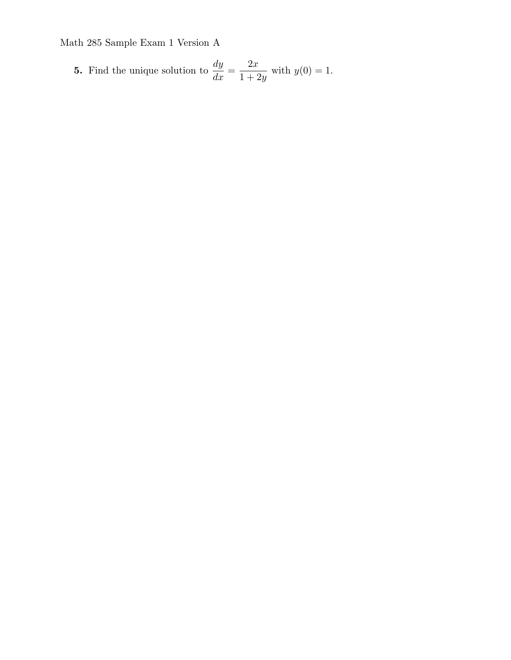5. Find the unique solution to 
$$
\frac{dy}{dx} = \frac{2x}{1+2y}
$$
 with  $y(0) = 1$ .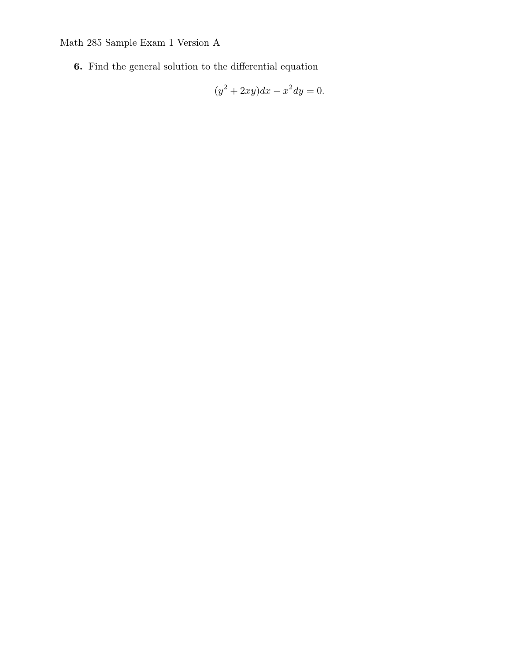**6.** Find the general solution to the differential equation

$$
(y^2 + 2xy)dx - x^2 dy = 0.
$$